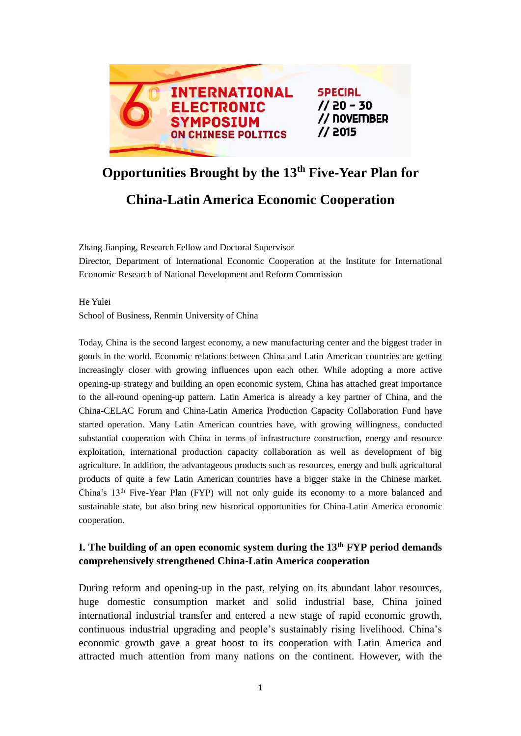

# **Opportunities Brought by the 13th Five-Year Plan for**

# **China-Latin America Economic Cooperation**

Zhang Jianping, Research Fellow and Doctoral Supervisor

Director, Department of International Economic Cooperation at the Institute for International Economic Research of National Development and Reform Commission

He Yulei School of Business, Renmin University of China

Today, China is the second largest economy, a new manufacturing center and the biggest trader in goods in the world. Economic relations between China and Latin American countries are getting increasingly closer with growing influences upon each other. While adopting a more active opening-up strategy and building an open economic system, China has attached great importance to the all-round opening-up pattern. Latin America is already a key partner of China, and the China-CELAC Forum and China-Latin America Production Capacity Collaboration Fund have started operation. Many Latin American countries have, with growing willingness, conducted substantial cooperation with China in terms of infrastructure construction, energy and resource exploitation, international production capacity collaboration as well as development of big agriculture. In addition, the advantageous products such as resources, energy and bulk agricultural products of quite a few Latin American countries have a bigger stake in the Chinese market. China's 13th Five-Year Plan (FYP) will not only guide its economy to a more balanced and sustainable state, but also bring new historical opportunities for China-Latin America economic cooperation.

## **I. The building of an open economic system during the 13th FYP period demands comprehensively strengthened China-Latin America cooperation**

During reform and opening-up in the past, relying on its abundant labor resources, huge domestic consumption market and solid industrial base, China joined international industrial transfer and entered a new stage of rapid economic growth, continuous industrial upgrading and people's sustainably rising livelihood. China's economic growth gave a great boost to its cooperation with Latin America and attracted much attention from many nations on the continent. However, with the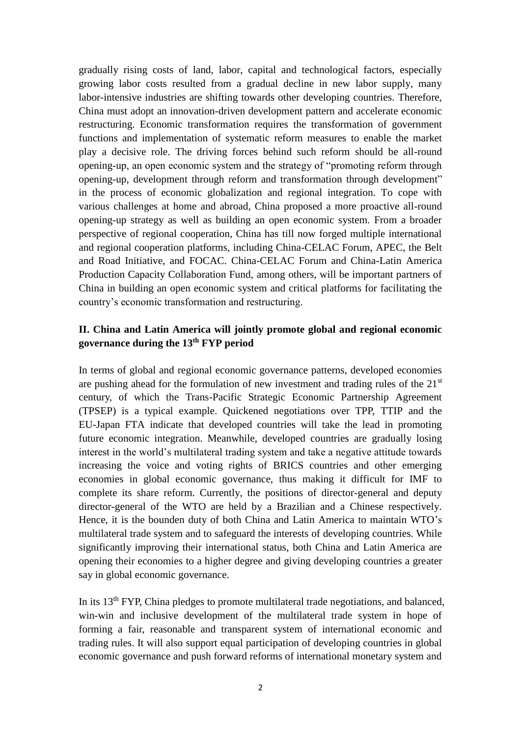gradually rising costs of land, labor, capital and technological factors, especially growing labor costs resulted from a gradual decline in new labor supply, many labor-intensive industries are shifting towards other developing countries. Therefore, China must adopt an innovation-driven development pattern and accelerate economic restructuring. Economic transformation requires the transformation of government functions and implementation of systematic reform measures to enable the market play a decisive role. The driving forces behind such reform should be all-round opening-up, an open economic system and the strategy of "promoting reform through opening-up, development through reform and transformation through development" in the process of economic globalization and regional integration. To cope with various challenges at home and abroad, China proposed a more proactive all-round opening-up strategy as well as building an open economic system. From a broader perspective of regional cooperation, China has till now forged multiple international and regional cooperation platforms, including China-CELAC Forum, APEC, the Belt and Road Initiative, and FOCAC. China-CELAC Forum and China-Latin America Production Capacity Collaboration Fund, among others, will be important partners of China in building an open economic system and critical platforms for facilitating the country's economic transformation and restructuring.

#### **II. China and Latin America will jointly promote global and regional economic governance during the 13th FYP period**

In terms of global and regional economic governance patterns, developed economies are pushing ahead for the formulation of new investment and trading rules of the 21<sup>st</sup> century, of which the Trans-Pacific Strategic Economic Partnership Agreement (TPSEP) is a typical example. Quickened negotiations over TPP, TTIP and the EU-Japan FTA indicate that developed countries will take the lead in promoting future economic integration. Meanwhile, developed countries are gradually losing interest in the world's multilateral trading system and take a negative attitude towards increasing the voice and voting rights of BRICS countries and other emerging economies in global economic governance, thus making it difficult for IMF to complete its share reform. Currently, the positions of director-general and deputy director-general of the WTO are held by a Brazilian and a Chinese respectively. Hence, it is the bounden duty of both China and Latin America to maintain WTO's multilateral trade system and to safeguard the interests of developing countries. While significantly improving their international status, both China and Latin America are opening their economies to a higher degree and giving developing countries a greater say in global economic governance.

In its 13th FYP, China pledges to promote multilateral trade negotiations, and balanced, win-win and inclusive development of the multilateral trade system in hope of forming a fair, reasonable and transparent system of international economic and trading rules. It will also support equal participation of developing countries in global economic governance and push forward reforms of international monetary system and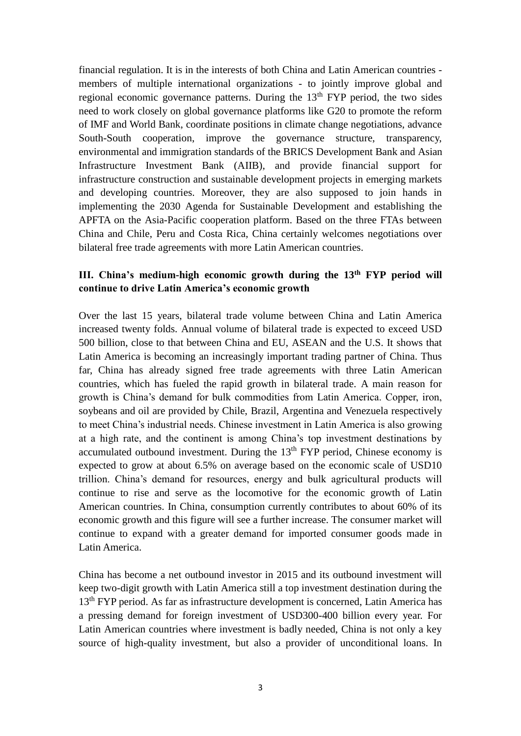financial regulation. It is in the interests of both China and Latin American countries members of multiple international organizations - to jointly improve global and regional economic governance patterns. During the  $13<sup>th</sup> FYP$  period, the two sides need to work closely on global governance platforms like G20 to promote the reform of IMF and World Bank, coordinate positions in climate change negotiations, advance South-South cooperation, improve the governance structure, transparency, environmental and immigration standards of the BRICS Development Bank and Asian Infrastructure Investment Bank (AIIB), and provide financial support for infrastructure construction and sustainable development projects in emerging markets and developing countries. Moreover, they are also supposed to join hands in implementing the 2030 Agenda for Sustainable Development and establishing the APFTA on the Asia-Pacific cooperation platform. Based on the three FTAs between China and Chile, Peru and Costa Rica, China certainly welcomes negotiations over bilateral free trade agreements with more Latin American countries.

#### **III. China's medium-high economic growth during the 13th FYP period will continue to drive Latin America's economic growth**

Over the last 15 years, bilateral trade volume between China and Latin America increased twenty folds. Annual volume of bilateral trade is expected to exceed USD 500 billion, close to that between China and EU, ASEAN and the U.S. It shows that Latin America is becoming an increasingly important trading partner of China. Thus far, China has already signed free trade agreements with three Latin American countries, which has fueled the rapid growth in bilateral trade. A main reason for growth is China's demand for bulk commodities from Latin America. Copper, iron, soybeans and oil are provided by Chile, Brazil, Argentina and Venezuela respectively to meet China's industrial needs. Chinese investment in Latin America is also growing at a high rate, and the continent is among China's top investment destinations by accumulated outbound investment. During the  $13<sup>th</sup> FYP$  period, Chinese economy is expected to grow at about 6.5% on average based on the economic scale of USD10 trillion. China's demand for resources, energy and bulk agricultural products will continue to rise and serve as the locomotive for the economic growth of Latin American countries. In China, consumption currently contributes to about 60% of its economic growth and this figure will see a further increase. The consumer market will continue to expand with a greater demand for imported consumer goods made in Latin America.

China has become a net outbound investor in 2015 and its outbound investment will keep two-digit growth with Latin America still a top investment destination during the 13<sup>th</sup> FYP period. As far as infrastructure development is concerned, Latin America has a pressing demand for foreign investment of USD300-400 billion every year. For Latin American countries where investment is badly needed, China is not only a key source of high-quality investment, but also a provider of unconditional loans. In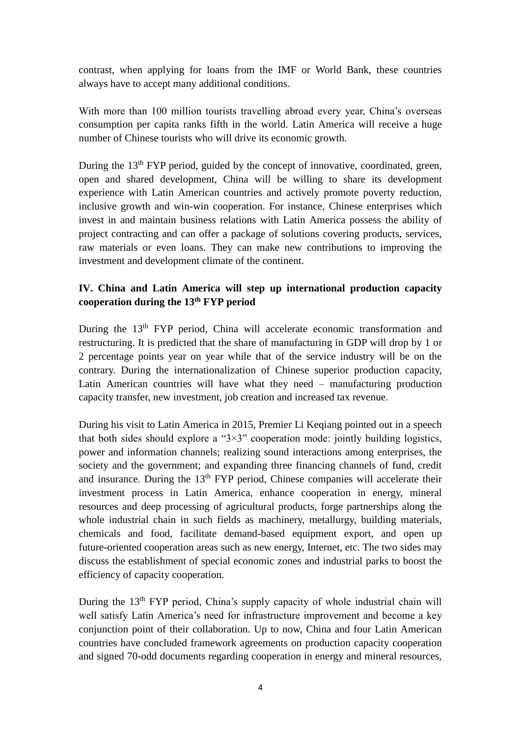contrast, when applying for loans from the IMF or World Bank, these countries always have to accept many additional conditions.

With more than 100 million tourists travelling abroad every year, China's overseas consumption per capita ranks fifth in the world. Latin America will receive a huge number of Chinese tourists who will drive its economic growth.

During the 13<sup>th</sup> FYP period, guided by the concept of innovative, coordinated, green, open and shared development, China will be willing to share its development experience with Latin American countries and actively promote poverty reduction, inclusive growth and win-win cooperation. For instance, Chinese enterprises which invest in and maintain business relations with Latin America possess the ability of project contracting and can offer a package of solutions covering products, services, raw materials or even loans. They can make new contributions to improving the investment and development climate of the continent.

### **IV. China and Latin America will step up international production capacity cooperation during the 13th FYP period**

During the 13<sup>th</sup> FYP period, China will accelerate economic transformation and restructuring. It is predicted that the share of manufacturing in GDP will drop by 1 or 2 percentage points year on year while that of the service industry will be on the contrary. During the internationalization of Chinese superior production capacity, Latin American countries will have what they need – manufacturing production capacity transfer, new investment, job creation and increased tax revenue.

During his visit to Latin America in 2015, Premier Li Keqiang pointed out in a speech that both sides should explore a " $3\times3$ " cooperation mode: jointly building logistics, power and information channels; realizing sound interactions among enterprises, the society and the government; and expanding three financing channels of fund, credit and insurance. During the 13<sup>th</sup> FYP period, Chinese companies will accelerate their investment process in Latin America, enhance cooperation in energy, mineral resources and deep processing of agricultural products, forge partnerships along the whole industrial chain in such fields as machinery, metallurgy, building materials, chemicals and food, facilitate demand-based equipment export, and open up future-oriented cooperation areas such as new energy, Internet, etc. The two sides may discuss the establishment of special economic zones and industrial parks to boost the efficiency of capacity cooperation.

During the 13<sup>th</sup> FYP period, China's supply capacity of whole industrial chain will well satisfy Latin America's need for infrastructure improvement and become a key conjunction point of their collaboration. Up to now, China and four Latin American countries have concluded framework agreements on production capacity cooperation and signed 70-odd documents regarding cooperation in energy and mineral resources,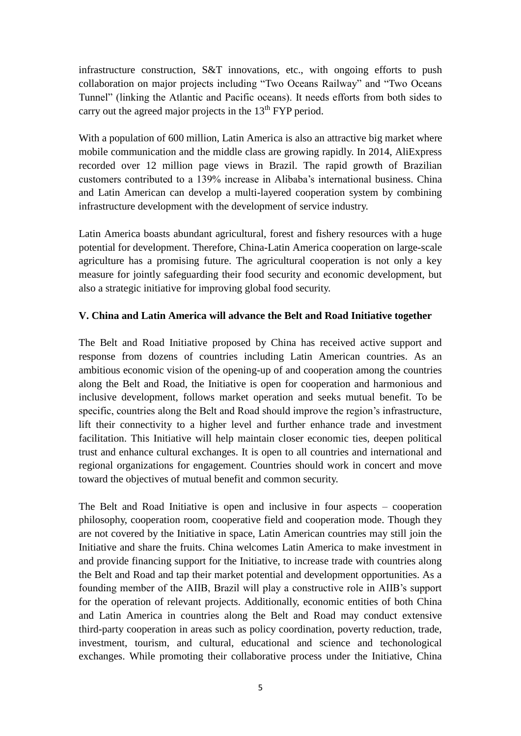infrastructure construction, S&T innovations, etc., with ongoing efforts to push collaboration on major projects including "Two Oceans Railway" and "Two Oceans Tunnel" (linking the Atlantic and Pacific oceans). It needs efforts from both sides to carry out the agreed major projects in the  $13<sup>th</sup> FYP$  period.

With a population of 600 million, Latin America is also an attractive big market where mobile communication and the middle class are growing rapidly. In 2014, AliExpress recorded over 12 million page views in Brazil. The rapid growth of Brazilian customers contributed to a 139% increase in Alibaba's international business. China and Latin American can develop a multi-layered cooperation system by combining infrastructure development with the development of service industry.

Latin America boasts abundant agricultural, forest and fishery resources with a huge potential for development. Therefore, China-Latin America cooperation on large-scale agriculture has a promising future. The agricultural cooperation is not only a key measure for jointly safeguarding their food security and economic development, but also a strategic initiative for improving global food security.

#### **V. China and Latin America will advance the Belt and Road Initiative together**

The Belt and Road Initiative proposed by China has received active support and response from dozens of countries including Latin American countries. As an ambitious economic vision of the opening-up of and cooperation among the countries along the Belt and Road, the Initiative is open for cooperation and harmonious and inclusive development, follows market operation and seeks mutual benefit. To be specific, countries along the Belt and Road should improve the region's infrastructure, lift their connectivity to a higher level and further enhance trade and investment facilitation. This Initiative will help maintain closer economic ties, deepen political trust and enhance cultural exchanges. It is open to all countries and international and regional organizations for engagement. Countries should work in concert and move toward the objectives of mutual benefit and common security.

The Belt and Road Initiative is open and inclusive in four aspects – cooperation philosophy, cooperation room, cooperative field and cooperation mode. Though they are not covered by the Initiative in space, Latin American countries may still join the Initiative and share the fruits. China welcomes Latin America to make investment in and provide financing support for the Initiative, to increase trade with countries along the Belt and Road and tap their market potential and development opportunities. As a founding member of the AIIB, Brazil will play a constructive role in AIIB's support for the operation of relevant projects. Additionally, economic entities of both China and Latin America in countries along the Belt and Road may conduct extensive third-party cooperation in areas such as policy coordination, poverty reduction, trade, investment, tourism, and cultural, educational and science and techonological exchanges. While promoting their collaborative process under the Initiative, China